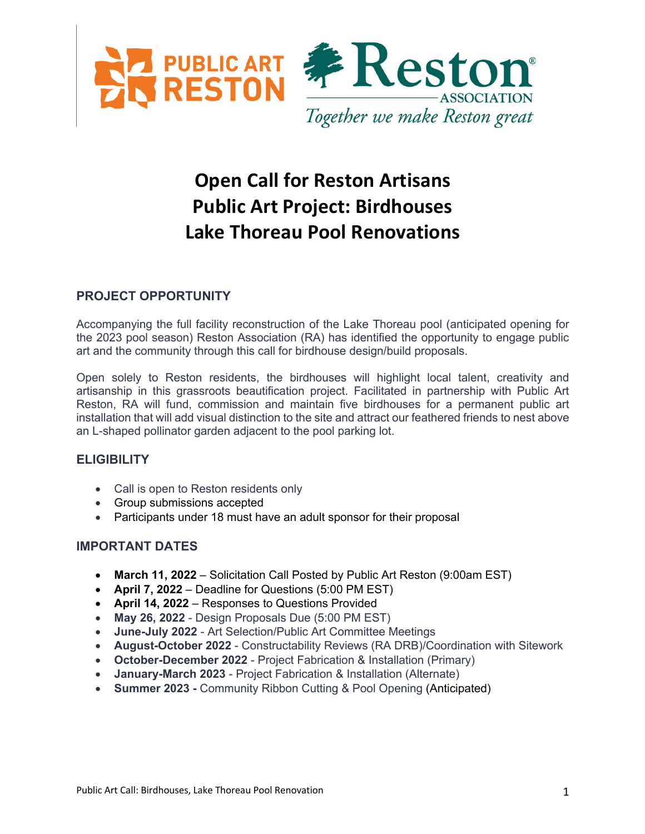

# **Open Call for Reston Artisans Public Art Project: Birdhouses Lake Thoreau Pool Renovations**

# **PROJECT OPPORTUNITY**

Accompanying the full facility reconstruction of the Lake Thoreau pool (anticipated opening for the 2023 pool season) Reston Association (RA) has identified the opportunity to engage public art and the community through this call for birdhouse design/build proposals.

Open solely to Reston residents, the birdhouses will highlight local talent, creativity and artisanship in this grassroots beautification project. Facilitated in partnership with Public Art Reston, RA will fund, commission and maintain five birdhouses for a permanent public art installation that will add visual distinction to the site and attract our feathered friends to nest above an L-shaped pollinator garden adjacent to the pool parking lot.

## **ELIGIBILITY**

- Call is open to Reston residents only
- Group submissions accepted
- Participants under 18 must have an adult sponsor for their proposal

## **IMPORTANT DATES**

- **March 11, 2022**  Solicitation Call Posted by Public Art Reston (9:00am EST)
- **April 7, 2022**  Deadline for Questions (5:00 PM EST)
- **April 14, 2022**  Responses to Questions Provided
- **May 26, 2022** Design Proposals Due (5:00 PM EST)
- **June-July 2022**  Art Selection/Public Art Committee Meetings
- **August-October 2022** Constructability Reviews (RA DRB)/Coordination with Sitework
- **October-December 2022**  Project Fabrication & Installation (Primary)
- **January-March 2023** Project Fabrication & Installation (Alternate)
- **Summer 2023 -** Community Ribbon Cutting & Pool Opening (Anticipated)